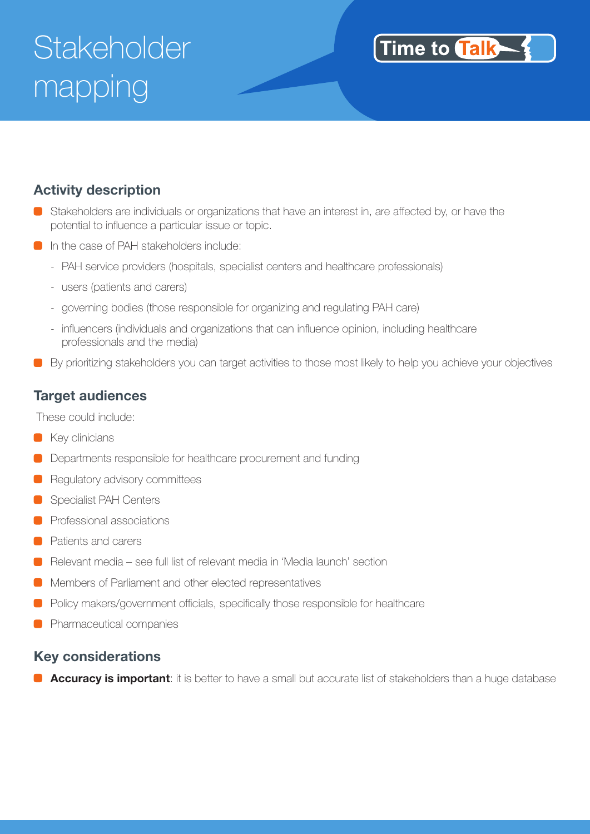# **Stakeholder** mapping

#### **Activity description**

Stakeholders are individuals or organizations that have an interest in, are affected by, or have the potential to influence a particular issue or topic.

Time to Talk

- In the case of PAH stakeholders include:
	- PAH service providers (hospitals, specialist centers and healthcare professionals)
	- users (patients and carers)
	- governing bodies (those responsible for organizing and regulating PAH care)
	- influencers (individuals and organizations that can influence opinion, including healthcare professionals and the media)
- By prioritizing stakeholders you can target activities to those most likely to help you achieve your objectives

#### **Target audiences**

These could include:

- Key clinicians
- Departments responsible for healthcare procurement and funding
- Regulatory advisory committees
- Specialist PAH Centers
- **C** Professional associations
- **Patients and carers**
- Relevant media see full list of relevant media in 'Media launch' section
- **C** Members of Parliament and other elected representatives
- **Policy makers/government officials, specifically those responsible for healthcare**
- **Pharmaceutical companies**

#### **Key considerations**

**Accuracy is important**: it is better to have a small but accurate list of stakeholders than a huge database